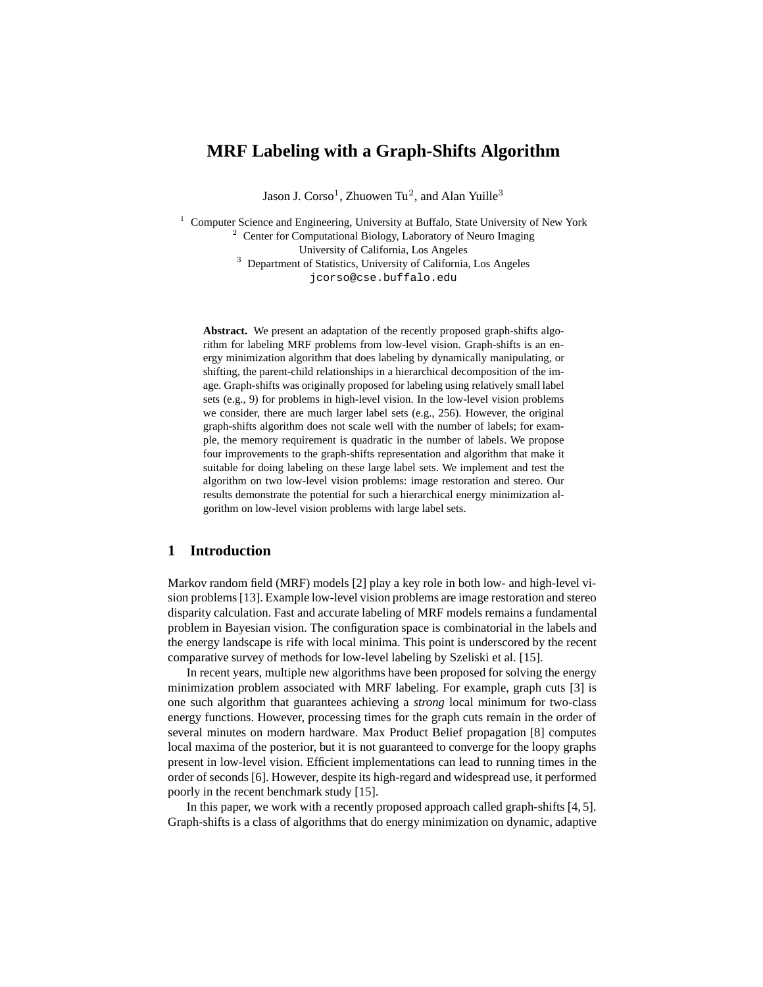# **MRF Labeling with a Graph-Shifts Algorithm**

Jason J. Corso<sup>1</sup>, Zhuowen Tu<sup>2</sup>, and Alan Yuille<sup>3</sup>

 $1$  Computer Science and Engineering, University at Buffalo, State University of New York <sup>2</sup> Center for Computational Biology, Laboratory of Neuro Imaging University of California, Los Angeles <sup>3</sup> Department of Statistics, University of California, Los Angeles jcorso@cse.buffalo.edu

**Abstract.** We present an adaptation of the recently proposed graph-shifts algorithm for labeling MRF problems from low-level vision. Graph-shifts is an energy minimization algorithm that does labeling by dynamically manipulating, or shifting, the parent-child relationships in a hierarchical decomposition of the image. Graph-shifts was originally proposed for labeling using relatively small label sets (e.g., 9) for problems in high-level vision. In the low-level vision problems we consider, there are much larger label sets (e.g., 256). However, the original graph-shifts algorithm does not scale well with the number of labels; for example, the memory requirement is quadratic in the number of labels. We propose four improvements to the graph-shifts representation and algorithm that make it suitable for doing labeling on these large label sets. We implement and test the algorithm on two low-level vision problems: image restoration and stereo. Our results demonstrate the potential for such a hierarchical energy minimization algorithm on low-level vision problems with large label sets.

## **1 Introduction**

Markov random field (MRF) models [2] play a key role in both low- and high-level vision problems [13]. Example low-level vision problems are image restoration and stereo disparity calculation. Fast and accurate labeling of MRF models remains a fundamental problem in Bayesian vision. The configuration space is combinatorial in the labels and the energy landscape is rife with local minima. This point is underscored by the recent comparative survey of methods for low-level labeling by Szeliski et al. [15].

In recent years, multiple new algorithms have been proposed for solving the energy minimization problem associated with MRF labeling. For example, graph cuts [3] is one such algorithm that guarantees achieving a *strong* local minimum for two-class energy functions. However, processing times for the graph cuts remain in the order of several minutes on modern hardware. Max Product Belief propagation [8] computes local maxima of the posterior, but it is not guaranteed to converge for the loopy graphs present in low-level vision. Efficient implementations can lead to running times in the order of seconds [6]. However, despite its high-regard and widespread use, it performed poorly in the recent benchmark study [15].

In this paper, we work with a recently proposed approach called graph-shifts [4, 5]. Graph-shifts is a class of algorithms that do energy minimization on dynamic, adaptive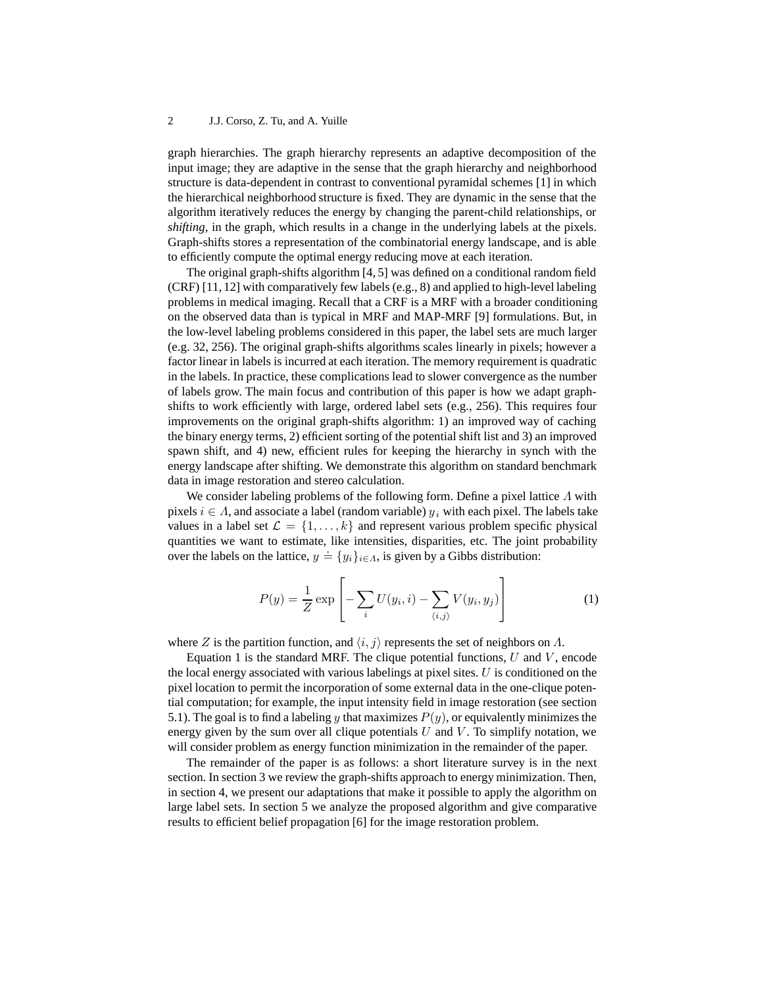graph hierarchies. The graph hierarchy represents an adaptive decomposition of the input image; they are adaptive in the sense that the graph hierarchy and neighborhood structure is data-dependent in contrast to conventional pyramidal schemes [1] in which the hierarchical neighborhood structure is fixed. They are dynamic in the sense that the algorithm iteratively reduces the energy by changing the parent-child relationships, or *shifting*, in the graph, which results in a change in the underlying labels at the pixels. Graph-shifts stores a representation of the combinatorial energy landscape, and is able to efficiently compute the optimal energy reducing move at each iteration.

The original graph-shifts algorithm [4, 5] was defined on a conditional random field (CRF) [11, 12] with comparatively few labels (e.g., 8) and applied to high-level labeling problems in medical imaging. Recall that a CRF is a MRF with a broader conditioning on the observed data than is typical in MRF and MAP-MRF [9] formulations. But, in the low-level labeling problems considered in this paper, the label sets are much larger (e.g. 32, 256). The original graph-shifts algorithms scales linearly in pixels; however a factor linear in labels is incurred at each iteration. The memory requirement is quadratic in the labels. In practice, these complications lead to slower convergence as the number of labels grow. The main focus and contribution of this paper is how we adapt graphshifts to work efficiently with large, ordered label sets (e.g., 256). This requires four improvements on the original graph-shifts algorithm: 1) an improved way of caching the binary energy terms, 2) efficient sorting of the potential shift list and 3) an improved spawn shift, and 4) new, efficient rules for keeping the hierarchy in synch with the energy landscape after shifting. We demonstrate this algorithm on standard benchmark data in image restoration and stereo calculation.

We consider labeling problems of the following form. Define a pixel lattice  $\Lambda$  with pixels  $i \in A$ , and associate a label (random variable)  $y_i$  with each pixel. The labels take values in a label set  $\mathcal{L} = \{1, \ldots, k\}$  and represent various problem specific physical quantities we want to estimate, like intensities, disparities, etc. The joint probability over the labels on the lattice,  $y = \{y_i\}_{i \in A}$ , is given by a Gibbs distribution:

$$
P(y) = \frac{1}{Z} \exp\left[-\sum_{i} U(y_i, i) - \sum_{\langle i, j \rangle} V(y_i, y_j)\right]
$$
 (1)

where Z is the partition function, and  $\langle i, j \rangle$  represents the set of neighbors on  $\Lambda$ .

Equation 1 is the standard MRF. The clique potential functions,  $U$  and  $V$ , encode the local energy associated with various labelings at pixel sites.  $U$  is conditioned on the pixel location to permit the incorporation of some external data in the one-clique potential computation; for example, the input intensity field in image restoration (see section 5.1). The goal is to find a labeling y that maximizes  $P(y)$ , or equivalently minimizes the energy given by the sum over all clique potentials  $U$  and  $V$ . To simplify notation, we will consider problem as energy function minimization in the remainder of the paper.

The remainder of the paper is as follows: a short literature survey is in the next section. In section 3 we review the graph-shifts approach to energy minimization. Then, in section 4, we present our adaptations that make it possible to apply the algorithm on large label sets. In section 5 we analyze the proposed algorithm and give comparative results to efficient belief propagation [6] for the image restoration problem.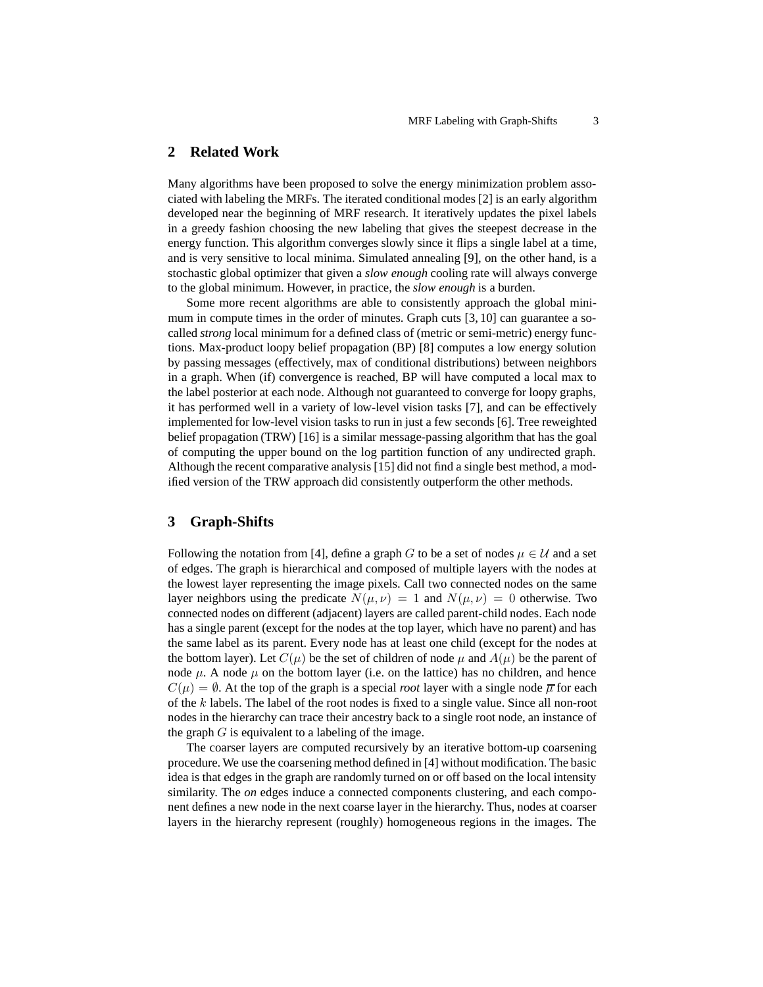## **2 Related Work**

Many algorithms have been proposed to solve the energy minimization problem associated with labeling the MRFs. The iterated conditional modes [2] is an early algorithm developed near the beginning of MRF research. It iteratively updates the pixel labels in a greedy fashion choosing the new labeling that gives the steepest decrease in the energy function. This algorithm converges slowly since it flips a single label at a time, and is very sensitive to local minima. Simulated annealing [9], on the other hand, is a stochastic global optimizer that given a *slow enough* cooling rate will always converge to the global minimum. However, in practice, the *slow enough* is a burden.

Some more recent algorithms are able to consistently approach the global minimum in compute times in the order of minutes. Graph cuts [3, 10] can guarantee a socalled *strong* local minimum for a defined class of (metric or semi-metric) energy functions. Max-product loopy belief propagation (BP) [8] computes a low energy solution by passing messages (effectively, max of conditional distributions) between neighbors in a graph. When (if) convergence is reached, BP will have computed a local max to the label posterior at each node. Although not guaranteed to converge for loopy graphs, it has performed well in a variety of low-level vision tasks [7], and can be effectively implemented for low-level vision tasks to run in just a few seconds [6]. Tree reweighted belief propagation (TRW) [16] is a similar message-passing algorithm that has the goal of computing the upper bound on the log partition function of any undirected graph. Although the recent comparative analysis [15] did not find a single best method, a modified version of the TRW approach did consistently outperform the other methods.

### **3 Graph-Shifts**

Following the notation from [4], define a graph G to be a set of nodes  $\mu \in \mathcal{U}$  and a set of edges. The graph is hierarchical and composed of multiple layers with the nodes at the lowest layer representing the image pixels. Call two connected nodes on the same layer neighbors using the predicate  $N(\mu, \nu)=1$  and  $N(\mu, \nu)=0$  otherwise. Two connected nodes on different (adjacent) layers are called parent-child nodes. Each node has a single parent (except for the nodes at the top layer, which have no parent) and has the same label as its parent. Every node has at least one child (except for the nodes at the bottom layer). Let  $C(\mu)$  be the set of children of node  $\mu$  and  $A(\mu)$  be the parent of node  $\mu$ . A node  $\mu$  on the bottom layer (i.e. on the lattice) has no children, and hence  $C(\mu) = \emptyset$ . At the top of the graph is a special *root* layer with a single node  $\overline{\mu}$  for each of the k labels. The label of the root nodes is fixed to a single value. Since all non-root nodes in the hierarchy can trace their ancestry back to a single root node, an instance of the graph  $G$  is equivalent to a labeling of the image.

The coarser layers are computed recursively by an iterative bottom-up coarsening procedure.We use the coarsening method defined in [4] without modification. The basic idea is that edges in the graph are randomly turned on or off based on the local intensity similarity. The *on* edges induce a connected components clustering, and each component defines a new node in the next coarse layer in the hierarchy. Thus, nodes at coarser layers in the hierarchy represent (roughly) homogeneous regions in the images. The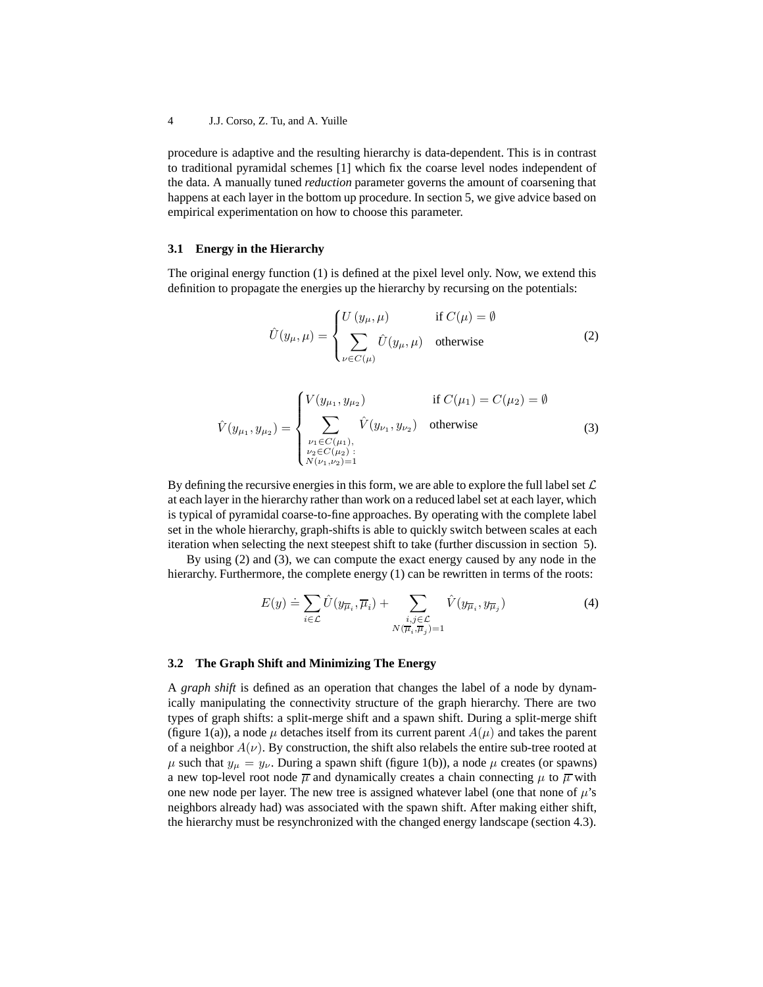procedure is adaptive and the resulting hierarchy is data-dependent. This is in contrast to traditional pyramidal schemes [1] which fix the coarse level nodes independent of the data. A manually tuned *reduction* parameter governs the amount of coarsening that happens at each layer in the bottom up procedure. In section 5, we give advice based on empirical experimentation on how to choose this parameter.

#### **3.1 Energy in the Hierarchy**

The original energy function (1) is defined at the pixel level only. Now, we extend this definition to propagate the energies up the hierarchy by recursing on the potentials:

$$
\hat{U}(y_{\mu}, \mu) = \begin{cases} U(y_{\mu}, \mu) & \text{if } C(\mu) = \emptyset \\ \sum_{\nu \in C(\mu)} \hat{U}(y_{\mu}, \mu) & \text{otherwise} \end{cases}
$$
\n(2)

$$
\hat{V}(y_{\mu_1}, y_{\mu_2}) = \begin{cases}\nV(y_{\mu_1}, y_{\mu_2}) & \text{if } C(\mu_1) = C(\mu_2) = \emptyset \\
\sum_{\substack{\nu_1 \in C(\mu_1), \\ \nu_2 \in C(\mu_2) \\ N(\nu_1, \nu_2) = 1}} \hat{V}(y_{\nu_1}, y_{\nu_2}) & \text{otherwise}\n\end{cases}
$$
\n(3)

By defining the recursive energies in this form, we are able to explore the full label set  $\mathcal L$ at each layer in the hierarchy rather than work on a reduced label set at each layer, which is typical of pyramidal coarse-to-fine approaches. By operating with the complete label set in the whole hierarchy, graph-shifts is able to quickly switch between scales at each iteration when selecting the next steepest shift to take (further discussion in section 5).

By using (2) and (3), we can compute the exact energy caused by any node in the hierarchy. Furthermore, the complete energy (1) can be rewritten in terms of the roots:

$$
E(y) \doteq \sum_{i \in \mathcal{L}} \hat{U}(y_{\overline{\mu}_i}, \overline{\mu}_i) + \sum_{\substack{i,j \in \mathcal{L} \\ N(\overline{\mu}_i, \overline{\mu}_j) = 1}} \hat{V}(y_{\overline{\mu}_i}, y_{\overline{\mu}_j})
$$
(4)

#### **3.2 The Graph Shift and Minimizing The Energy**

A *graph shift* is defined as an operation that changes the label of a node by dynamically manipulating the connectivity structure of the graph hierarchy. There are two types of graph shifts: a split-merge shift and a spawn shift. During a split-merge shift (figure 1(a)), a node  $\mu$  detaches itself from its current parent  $A(\mu)$  and takes the parent of a neighbor  $A(\nu)$ . By construction, the shift also relabels the entire sub-tree rooted at  $\mu$  such that  $y_{\mu} = y_{\nu}$ . During a spawn shift (figure 1(b)), a node  $\mu$  creates (or spawns) a new top-level root node  $\overline{\mu}$  and dynamically creates a chain connecting  $\mu$  to  $\overline{\mu}$  with one new node per layer. The new tree is assigned whatever label (one that none of  $\mu$ 's neighbors already had) was associated with the spawn shift. After making either shift, the hierarchy must be resynchronized with the changed energy landscape (section 4.3).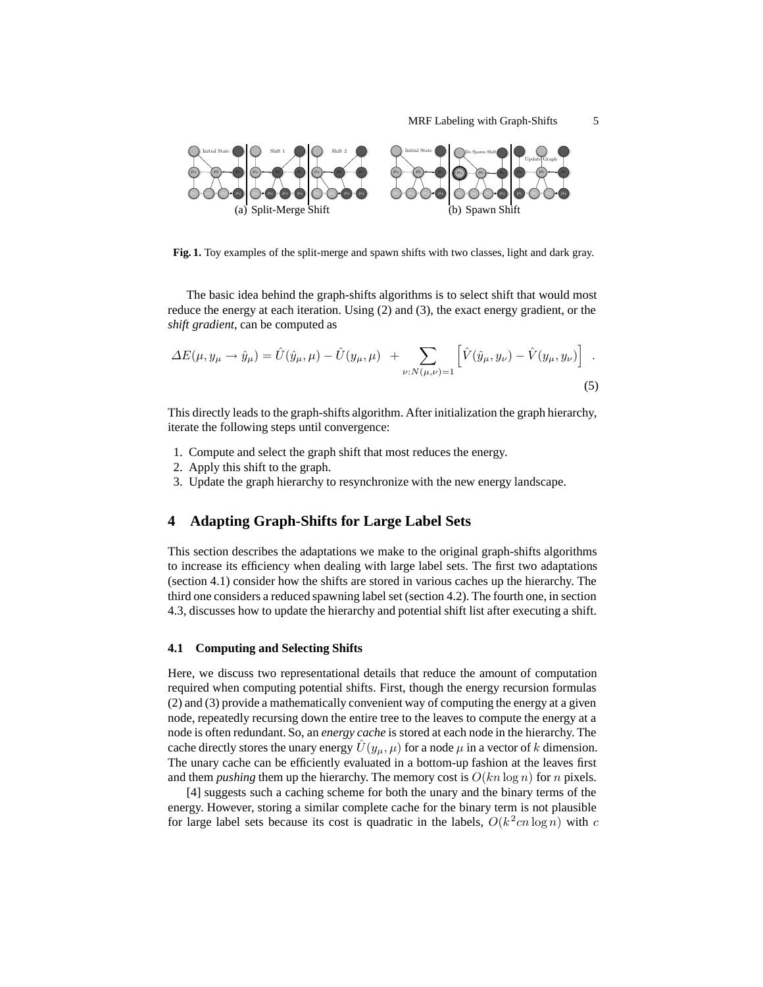

**Fig. 1.** Toy examples of the split-merge and spawn shifts with two classes, light and dark gray.

The basic idea behind the graph-shifts algorithms is to select shift that would most reduce the energy at each iteration. Using (2) and (3), the exact energy gradient, or the *shift gradient*, can be computed as

$$
\Delta E(\mu, y_{\mu} \to \hat{y}_{\mu}) = \hat{U}(\hat{y}_{\mu}, \mu) - \hat{U}(y_{\mu}, \mu) + \sum_{\nu: N(\mu, \nu) = 1} \left[ \hat{V}(\hat{y}_{\mu}, y_{\nu}) - \hat{V}(y_{\mu}, y_{\nu}) \right] .
$$
\n(5)

This directly leads to the graph-shifts algorithm. After initialization the graph hierarchy, iterate the following steps until convergence:

- 1. Compute and select the graph shift that most reduces the energy.
- 2. Apply this shift to the graph.
- 3. Update the graph hierarchy to resynchronize with the new energy landscape.

## **4 Adapting Graph-Shifts for Large Label Sets**

This section describes the adaptations we make to the original graph-shifts algorithms to increase its efficiency when dealing with large label sets. The first two adaptations (section 4.1) consider how the shifts are stored in various caches up the hierarchy. The third one considers a reduced spawning label set (section 4.2). The fourth one, in section 4.3, discusses how to update the hierarchy and potential shift list after executing a shift.

#### **4.1 Computing and Selecting Shifts**

Here, we discuss two representational details that reduce the amount of computation required when computing potential shifts. First, though the energy recursion formulas (2) and (3) provide a mathematically convenient way of computing the energy at a given node, repeatedly recursing down the entire tree to the leaves to compute the energy at a node is often redundant. So, an *energy cache* is stored at each node in the hierarchy. The cache directly stores the unary energy  $\hat{U}(y_{\mu}, \mu)$  for a node  $\mu$  in a vector of k dimension. The unary cache can be efficiently evaluated in a bottom-up fashion at the leaves first and them *pushing* them up the hierarchy. The memory cost is  $O(kn \log n)$  for *n* pixels.

[4] suggests such a caching scheme for both the unary and the binary terms of the energy. However, storing a similar complete cache for the binary term is not plausible for large label sets because its cost is quadratic in the labels,  $O(k^2cn \log n)$  with c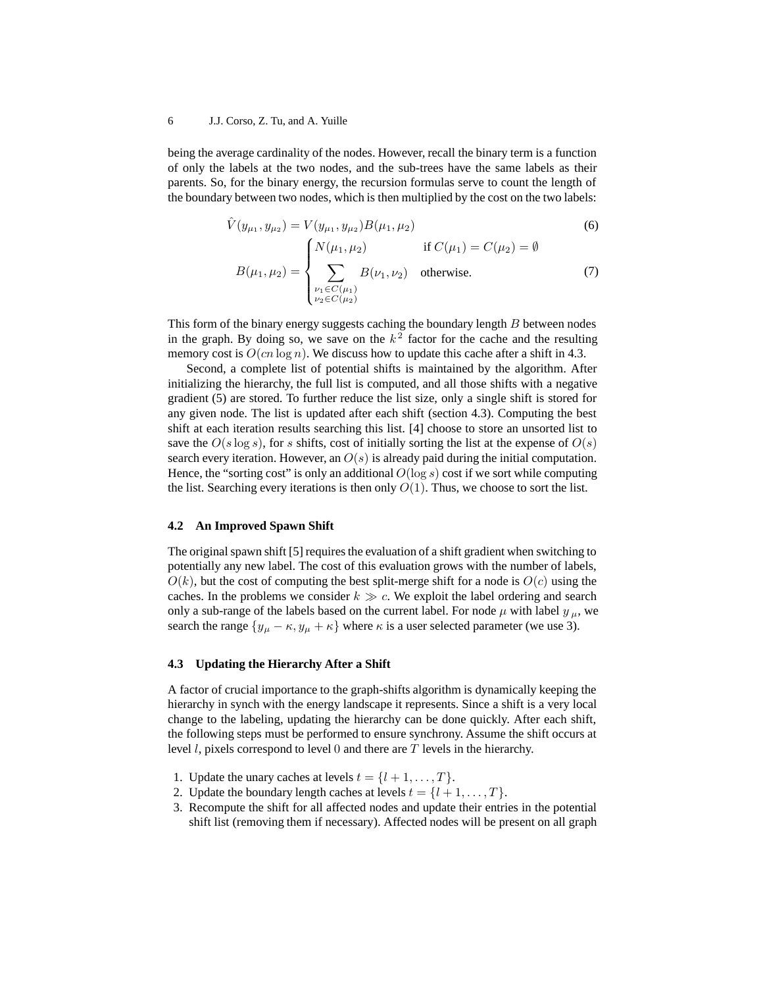#### 6 J.J. Corso, Z. Tu, and A. Yuille

being the average cardinality of the nodes. However, recall the binary term is a function of only the labels at the two nodes, and the sub-trees have the same labels as their parents. So, for the binary energy, the recursion formulas serve to count the length of the boundary between two nodes, which is then multiplied by the cost on the two labels:

$$
\hat{V}(y_{\mu_1}, y_{\mu_2}) = V(y_{\mu_1}, y_{\mu_2})B(\mu_1, \mu_2)
$$
\n(6)  
\n
$$
B(\mu_1, \mu_2) = \begin{cases}\nN(\mu_1, \mu_2) & \text{if } C(\mu_1) = C(\mu_2) = \emptyset \\
\sum_{\substack{\nu_1 \in C(\mu_1) \\ \nu_2 \in C(\mu_2)}} B(\nu_1, \nu_2) & \text{otherwise.} \n\end{cases}
$$
\n(7)

This form of the binary energy suggests caching the boundary length  $B$  between nodes in the graph. By doing so, we save on the  $k^2$  factor for the cache and the resulting memory cost is  $O(cn \log n)$ . We discuss how to update this cache after a shift in 4.3.

Second, a complete list of potential shifts is maintained by the algorithm. After initializing the hierarchy, the full list is computed, and all those shifts with a negative gradient (5) are stored. To further reduce the list size, only a single shift is stored for any given node. The list is updated after each shift (section 4.3). Computing the best shift at each iteration results searching this list. [4] choose to store an unsorted list to save the  $O(s \log s)$ , for s shifts, cost of initially sorting the list at the expense of  $O(s)$ search every iteration. However, an  $O(s)$  is already paid during the initial computation. Hence, the "sorting cost" is only an additional  $O(\log s)$  cost if we sort while computing the list. Searching every iterations is then only  $O(1)$ . Thus, we choose to sort the list.

#### **4.2 An Improved Spawn Shift**

The original spawn shift [5] requires the evaluation of a shift gradient when switching to potentially any new label. The cost of this evaluation grows with the number of labels,  $O(k)$ , but the cost of computing the best split-merge shift for a node is  $O(c)$  using the caches. In the problems we consider  $k \gg c$ . We exploit the label ordering and search only a sub-range of the labels based on the current label. For node  $\mu$  with label  $y_{\mu}$ , we search the range  $\{y_{\mu} - \kappa, y_{\mu} + \kappa\}$  where  $\kappa$  is a user selected parameter (we use 3).

#### **4.3 Updating the Hierarchy After a Shift**

A factor of crucial importance to the graph-shifts algorithm is dynamically keeping the hierarchy in synch with the energy landscape it represents. Since a shift is a very local change to the labeling, updating the hierarchy can be done quickly. After each shift, the following steps must be performed to ensure synchrony. Assume the shift occurs at level <sup>l</sup>, pixels correspond to level 0 and there are <sup>T</sup> levels in the hierarchy.

- 1. Update the unary caches at levels  $t = \{l + 1, \ldots, T\}$ .
- 2. Update the boundary length caches at levels  $t = \{l + 1, \ldots, T\}$ .
- 3. Recompute the shift for all affected nodes and update their entries in the potential shift list (removing them if necessary). Affected nodes will be present on all graph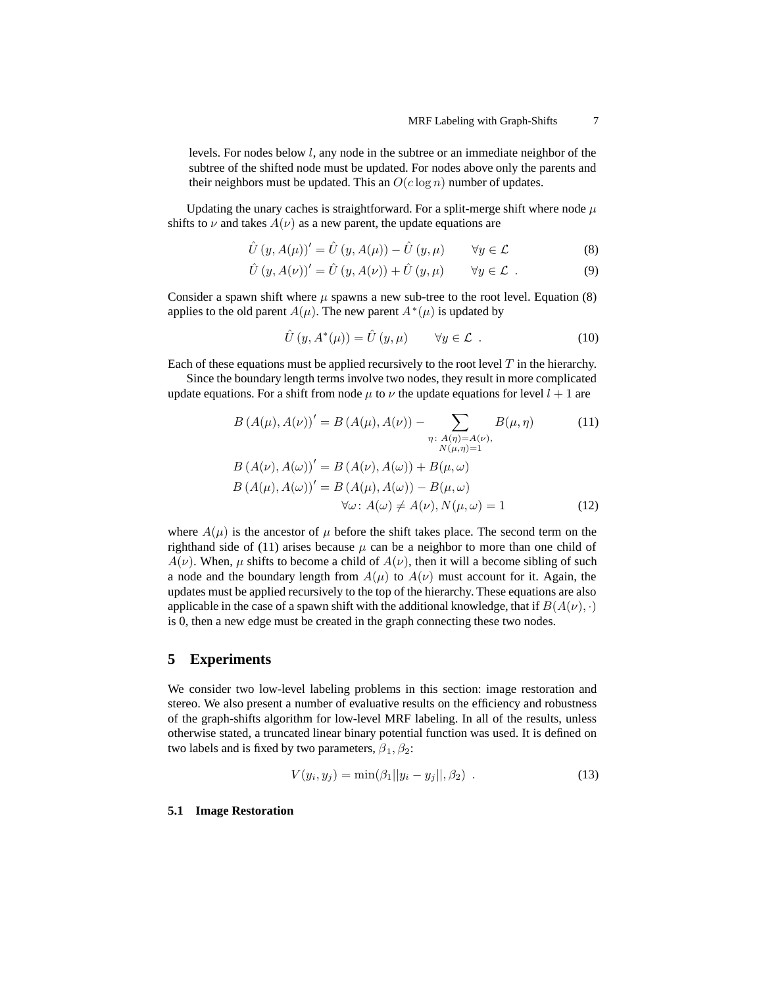levels. For nodes below l, any node in the subtree or an immediate neighbor of the subtree of the shifted node must be updated. For nodes above only the parents and their neighbors must be updated. This an  $O(c \log n)$  number of updates.

Updating the unary caches is straightforward. For a split-merge shift where node  $\mu$ shifts to  $\nu$  and takes  $A(\nu)$  as a new parent, the update equations are

$$
\hat{U}(y, A(\mu))' = \hat{U}(y, A(\mu)) - \hat{U}(y, \mu) \qquad \forall y \in \mathcal{L}
$$
\n(8)

$$
\hat{U}(y, A(\nu))' = \hat{U}(y, A(\nu)) + \hat{U}(y, \mu) \qquad \forall y \in \mathcal{L} \tag{9}
$$

Consider a spawn shift where  $\mu$  spawns a new sub-tree to the root level. Equation (8) applies to the old parent  $A(\mu)$ . The new parent  $A^*(\mu)$  is updated by

$$
\dot{U}(y, A^*(\mu)) = \dot{U}(y, \mu) \qquad \forall y \in \mathcal{L} \tag{10}
$$

Each of these equations must be applied recursively to the root level  $T$  in the hierarchy.

Since the boundary length terms involve two nodes, they result in more complicated update equations. For a shift from node  $\mu$  to  $\nu$  the update equations for level  $l + 1$  are

$$
B(A(\mu), A(\nu))' = B(A(\mu), A(\nu)) - \sum_{\substack{\eta : A(\eta) = A(\nu), \\ N(\mu, \eta) = 1}} B(\mu, \eta)
$$
(11)  

$$
B(A(\nu), A(\omega))' = B(A(\nu), A(\omega)) + B(\mu, \omega)
$$
  

$$
B(A(\mu), A(\omega))' = B(A(\mu), A(\omega)) - B(\mu, \omega)
$$
  

$$
\forall \omega : A(\omega) \neq A(\nu), N(\mu, \omega) = 1
$$
(12)

where  $A(\mu)$  is the ancestor of  $\mu$  before the shift takes place. The second term on the righthand side of (11) arises because  $\mu$  can be a neighbor to more than one child of  $A(\nu)$ . When,  $\mu$  shifts to become a child of  $A(\nu)$ , then it will a become sibling of such a node and the boundary length from  $A(\mu)$  to  $A(\nu)$  must account for it. Again, the updates must be applied recursively to the top of the hierarchy. These equations are also applicable in the case of a spawn shift with the additional knowledge, that if  $B(A(v), \cdot)$ is 0, then a new edge must be created in the graph connecting these two nodes.

### **5 Experiments**

We consider two low-level labeling problems in this section: image restoration and stereo. We also present a number of evaluative results on the efficiency and robustness of the graph-shifts algorithm for low-level MRF labeling. In all of the results, unless otherwise stated, a truncated linear binary potential function was used. It is defined on two labels and is fixed by two parameters,  $\beta_1$ ,  $\beta_2$ :

$$
V(y_i, y_j) = \min(\beta_1 || y_i - y_j ||, \beta_2) . \tag{13}
$$

#### **5.1 Image Restoration**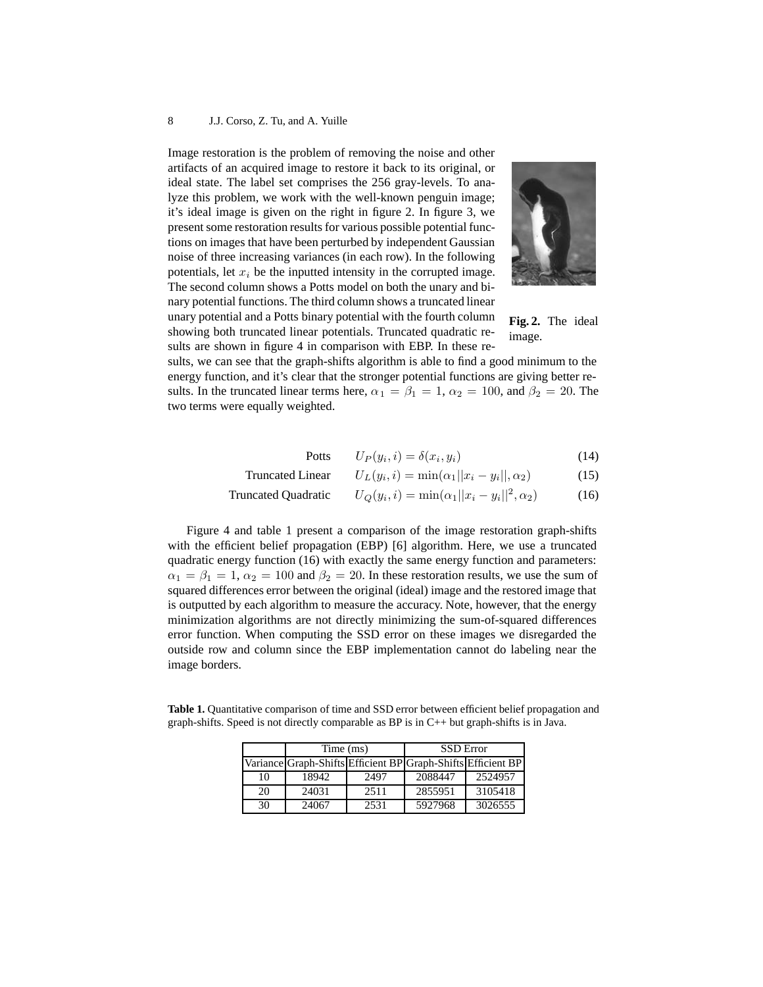Image restoration is the problem of removing the noise and other artifacts of an acquired image to restore it back to its original, or ideal state. The label set comprises the 256 gray-levels. To analyze this problem, we work with the well-known penguin image; it's ideal image is given on the right in figure 2. In figure 3, we present some restoration results for various possible potential functions on images that have been perturbed by independent Gaussian noise of three increasing variances (in each row). In the following potentials, let  $x_i$  be the inputted intensity in the corrupted image. The second column shows a Potts model on both the unary and binary potential functions. The third column shows a truncated linear unary potential and a Potts binary potential with the fourth column showing both truncated linear potentials. Truncated quadratic results are shown in figure 4 in comparison with EBP. In these re-



**Fig. 2.** The ideal image.

sults, we can see that the graph-shifts algorithm is able to find a good minimum to the energy function, and it's clear that the stronger potential functions are giving better results. In the truncated linear terms here,  $\alpha_1 = \beta_1 = 1$ ,  $\alpha_2 = 100$ , and  $\beta_2 = 20$ . The two terms were equally weighted.

$$
Potts \t UP(yi, i) = \delta(xi, yi) \t (14)
$$

Truncated Linear 
$$
U_L(y_i, i) = \min(\alpha_1 || x_i - y_i ||, \alpha_2)
$$
 (15)

Truncated Quadratic 
$$
U_Q(y_i, i) = \min(\alpha_1 ||x_i - y_i||^2, \alpha_2)
$$
 (16)

Figure 4 and table 1 present a comparison of the image restoration graph-shifts with the efficient belief propagation (EBP) [6] algorithm. Here, we use a truncated quadratic energy function (16) with exactly the same energy function and parameters:  $\alpha_1 = \beta_1 = 1$ ,  $\alpha_2 = 100$  and  $\beta_2 = 20$ . In these restoration results, we use the sum of squared differences error between the original (ideal) image and the restored image that is outputted by each algorithm to measure the accuracy. Note, however, that the energy minimization algorithms are not directly minimizing the sum-of-squared differences error function. When computing the SSD error on these images we disregarded the outside row and column since the EBP implementation cannot do labeling near the image borders.

**Table 1.** Quantitative comparison of time and SSD error between efficient belief propagation and graph-shifts. Speed is not directly comparable as BP is in C++ but graph-shifts is in Java.

|    | Time (ms) |      | <b>SSD</b> Error                                             |         |
|----|-----------|------|--------------------------------------------------------------|---------|
|    |           |      | Variance Graph-Shifts Efficient BP Graph-Shifts Efficient BP |         |
| 10 | 18942     | 2497 | 2088447                                                      | 2524957 |
| 20 | 24031     | 2511 | 2855951                                                      | 3105418 |
| 30 | 24067     | 2531 | 5927968                                                      | 3026555 |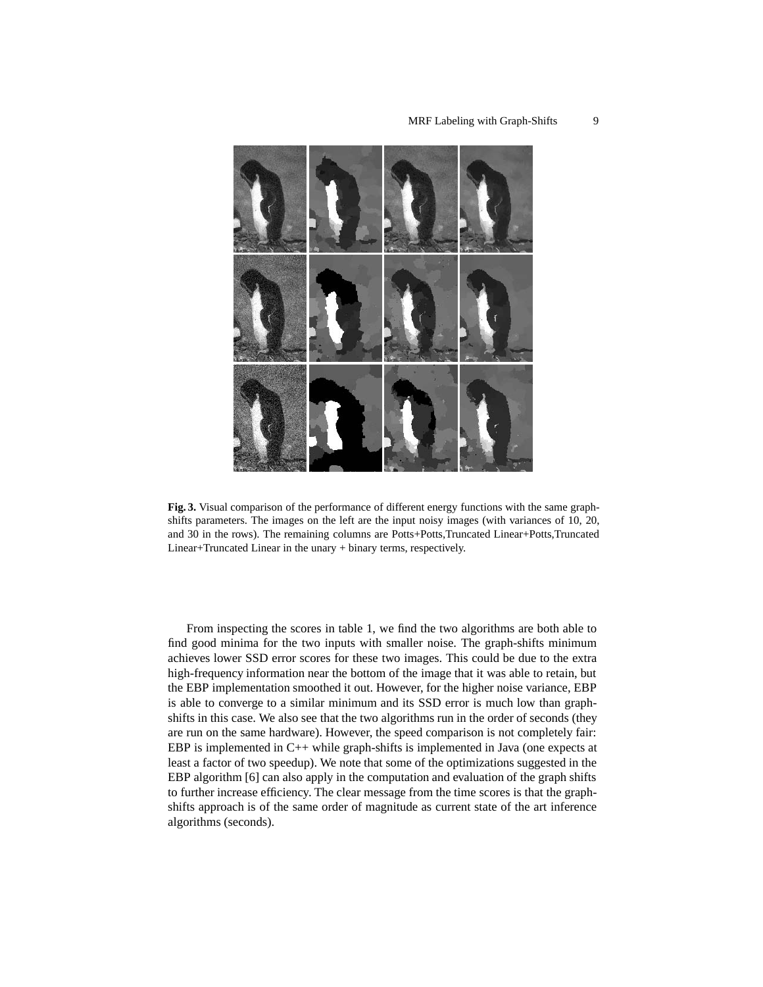

**Fig. 3.** Visual comparison of the performance of different energy functions with the same graphshifts parameters. The images on the left are the input noisy images (with variances of 10, 20, and 30 in the rows). The remaining columns are Potts+Potts,Truncated Linear+Potts,Truncated Linear+Truncated Linear in the unary + binary terms, respectively.

From inspecting the scores in table 1, we find the two algorithms are both able to find good minima for the two inputs with smaller noise. The graph-shifts minimum achieves lower SSD error scores for these two images. This could be due to the extra high-frequency information near the bottom of the image that it was able to retain, but the EBP implementation smoothed it out. However, for the higher noise variance, EBP is able to converge to a similar minimum and its SSD error is much low than graphshifts in this case. We also see that the two algorithms run in the order of seconds (they are run on the same hardware). However, the speed comparison is not completely fair: EBP is implemented in C++ while graph-shifts is implemented in Java (one expects at least a factor of two speedup). We note that some of the optimizations suggested in the EBP algorithm [6] can also apply in the computation and evaluation of the graph shifts to further increase efficiency. The clear message from the time scores is that the graphshifts approach is of the same order of magnitude as current state of the art inference algorithms (seconds).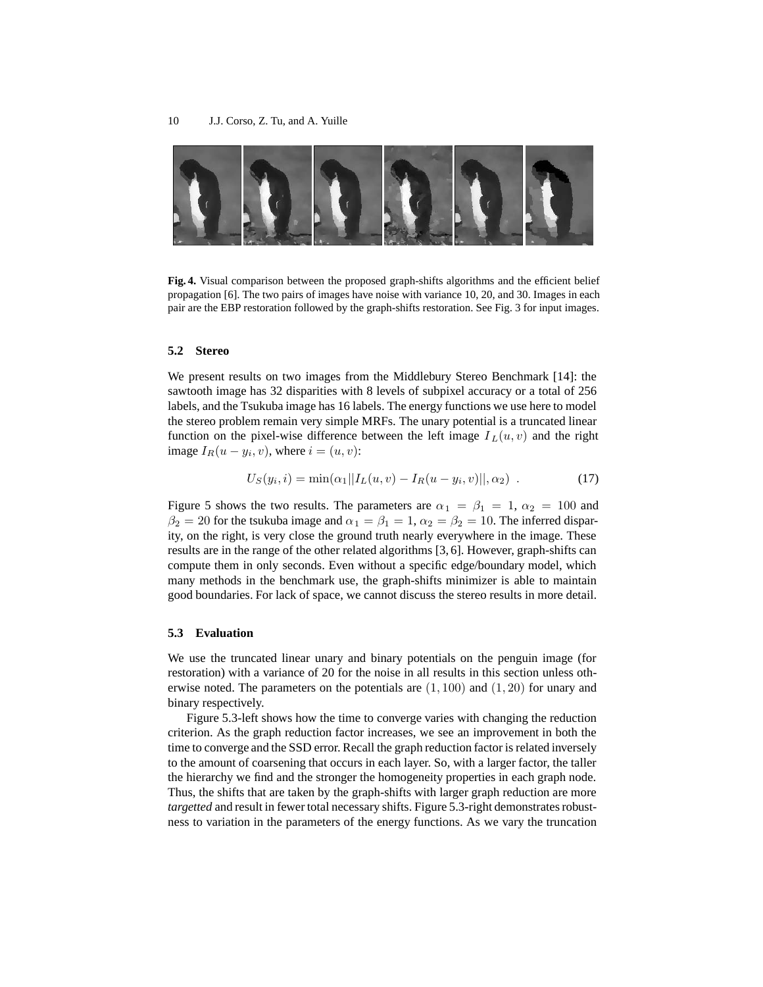

**Fig. 4.** Visual comparison between the proposed graph-shifts algorithms and the efficient belief propagation [6]. The two pairs of images have noise with variance 10, 20, and 30. Images in each pair are the EBP restoration followed by the graph-shifts restoration. See Fig. 3 for input images.

#### **5.2 Stereo**

We present results on two images from the Middlebury Stereo Benchmark [14]: the sawtooth image has 32 disparities with 8 levels of subpixel accuracy or a total of 256 labels, and the Tsukuba image has 16 labels. The energy functions we use here to model the stereo problem remain very simple MRFs. The unary potential is a truncated linear function on the pixel-wise difference between the left image  $I_L(u, v)$  and the right image  $I_R(u - y_i, v)$ , where  $i = (u, v)$ :

$$
U_S(y_i, i) = \min(\alpha_1 || I_L(u, v) - I_R(u - y_i, v) ||, \alpha_2)
$$
 (17)

Figure 5 shows the two results. The parameters are  $\alpha_1 = \beta_1 = 1$ ,  $\alpha_2 = 100$  and  $\beta_2 = 20$  for the tsukuba image and  $\alpha_1 = \beta_1 = 1$ ,  $\alpha_2 = \beta_2 = 10$ . The inferred disparity, on the right, is very close the ground truth nearly everywhere in the image. These results are in the range of the other related algorithms [3, 6]. However, graph-shifts can compute them in only seconds. Even without a specific edge/boundary model, which many methods in the benchmark use, the graph-shifts minimizer is able to maintain good boundaries. For lack of space, we cannot discuss the stereo results in more detail.

#### **5.3 Evaluation**

We use the truncated linear unary and binary potentials on the penguin image (for restoration) with a variance of 20 for the noise in all results in this section unless otherwise noted. The parameters on the potentials are  $(1, 100)$  and  $(1, 20)$  for unary and binary respectively.

Figure 5.3-left shows how the time to converge varies with changing the reduction criterion. As the graph reduction factor increases, we see an improvement in both the time to converge and the SSD error. Recall the graph reduction factor is related inversely to the amount of coarsening that occurs in each layer. So, with a larger factor, the taller the hierarchy we find and the stronger the homogeneity properties in each graph node. Thus, the shifts that are taken by the graph-shifts with larger graph reduction are more *targetted* and result in fewer total necessary shifts. Figure 5.3-right demonstrates robustness to variation in the parameters of the energy functions. As we vary the truncation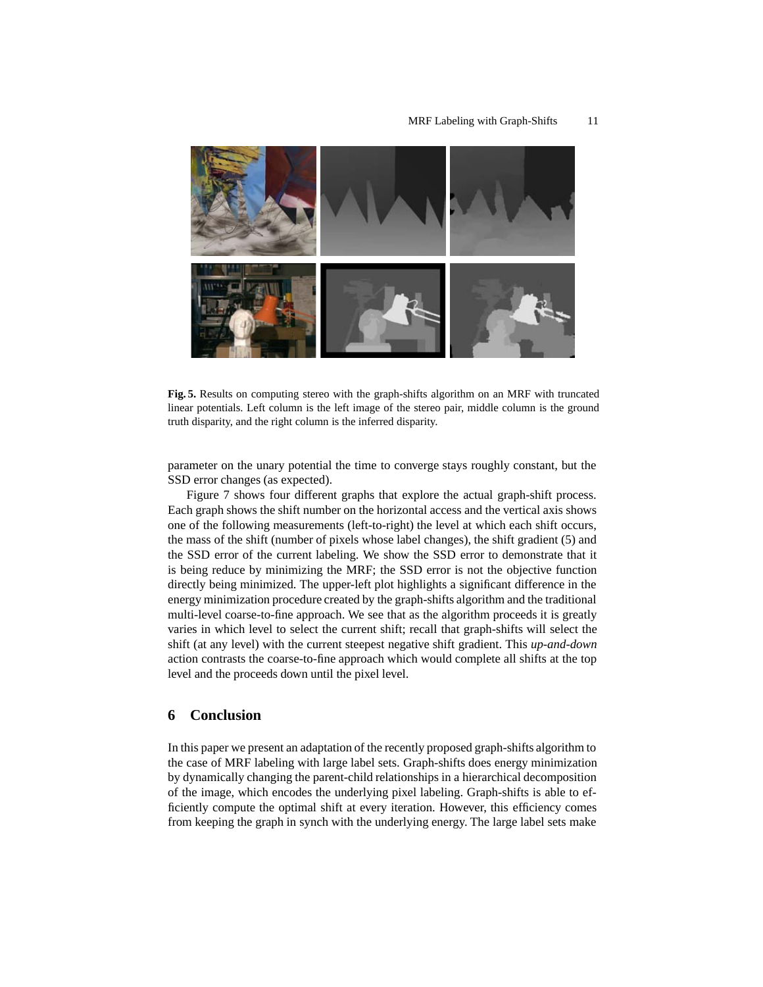

**Fig. 5.** Results on computing stereo with the graph-shifts algorithm on an MRF with truncated linear potentials. Left column is the left image of the stereo pair, middle column is the ground truth disparity, and the right column is the inferred disparity.

parameter on the unary potential the time to converge stays roughly constant, but the SSD error changes (as expected).

Figure 7 shows four different graphs that explore the actual graph-shift process. Each graph shows the shift number on the horizontal access and the vertical axis shows one of the following measurements (left-to-right) the level at which each shift occurs, the mass of the shift (number of pixels whose label changes), the shift gradient (5) and the SSD error of the current labeling. We show the SSD error to demonstrate that it is being reduce by minimizing the MRF; the SSD error is not the objective function directly being minimized. The upper-left plot highlights a significant difference in the energy minimization procedure created by the graph-shifts algorithm and the traditional multi-level coarse-to-fine approach. We see that as the algorithm proceeds it is greatly varies in which level to select the current shift; recall that graph-shifts will select the shift (at any level) with the current steepest negative shift gradient. This *up-and-down* action contrasts the coarse-to-fine approach which would complete all shifts at the top level and the proceeds down until the pixel level.

## **6 Conclusion**

In this paper we present an adaptation of the recently proposed graph-shifts algorithm to the case of MRF labeling with large label sets. Graph-shifts does energy minimization by dynamically changing the parent-child relationships in a hierarchical decomposition of the image, which encodes the underlying pixel labeling. Graph-shifts is able to efficiently compute the optimal shift at every iteration. However, this efficiency comes from keeping the graph in synch with the underlying energy. The large label sets make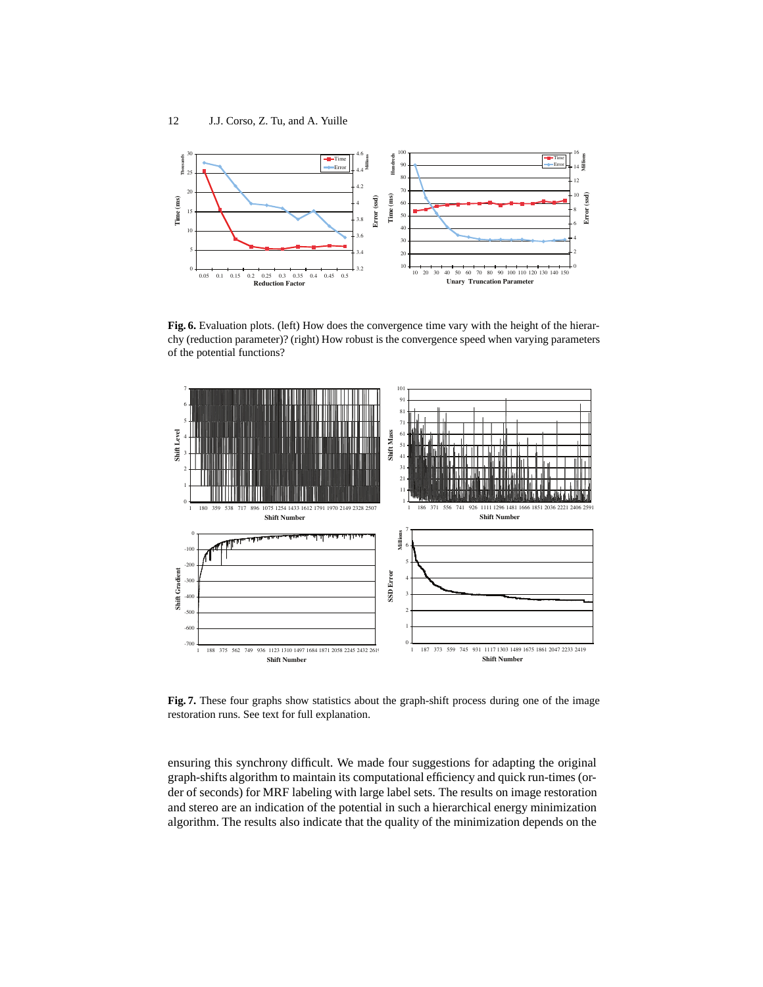

**Fig. 6.** Evaluation plots. (left) How does the convergence time vary with the height of the hierarchy (reduction parameter)? (right) How robust is the convergence speed when varying parameters of the potential functions?



**Fig. 7.** These four graphs show statistics about the graph-shift process during one of the image restoration runs. See text for full explanation.

ensuring this synchrony difficult. We made four suggestions for adapting the original graph-shifts algorithm to maintain its computational efficiency and quick run-times (order of seconds) for MRF labeling with large label sets. The results on image restoration and stereo are an indication of the potential in such a hierarchical energy minimization algorithm. The results also indicate that the quality of the minimization depends on the